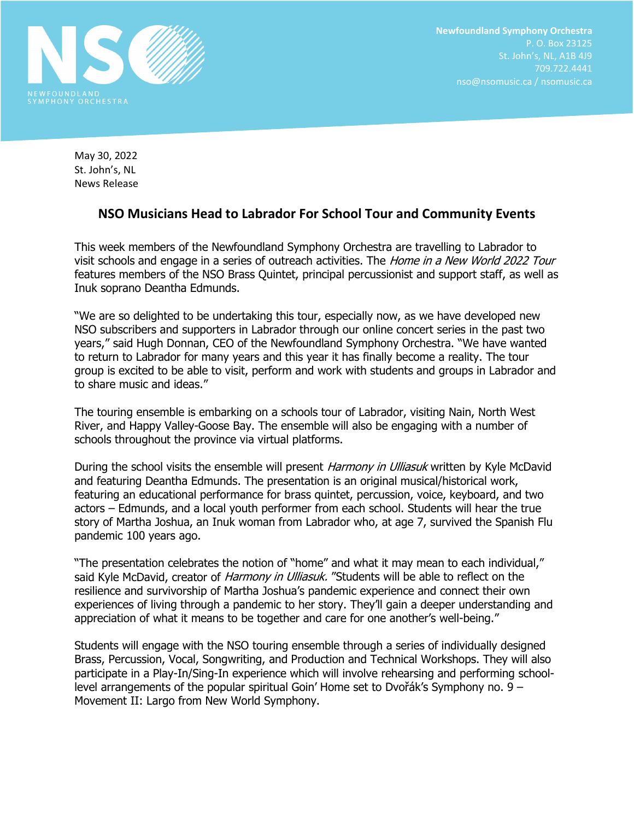

May 30, 2022 St. John's, NL News Release

## **NSO Musicians Head to Labrador For School Tour and Community Events**

This week members of the Newfoundland Symphony Orchestra are travelling to Labrador to visit schools and engage in a series of outreach activities. The Home in a New World 2022 Tour features members of the NSO Brass Quintet, principal percussionist and support staff, as well as Inuk soprano Deantha Edmunds.

"We are so delighted to be undertaking this tour, especially now, as we have developed new NSO subscribers and supporters in Labrador through our online concert series in the past two years," said Hugh Donnan, CEO of the Newfoundland Symphony Orchestra. "We have wanted to return to Labrador for many years and this year it has finally become a reality. The tour group is excited to be able to visit, perform and work with students and groups in Labrador and to share music and ideas."

The touring ensemble is embarking on a schools tour of Labrador, visiting Nain, North West River, and Happy Valley-Goose Bay. The ensemble will also be engaging with a number of schools throughout the province via virtual platforms.

During the school visits the ensemble will present Harmony in Ulliasuk written by Kyle McDavid and featuring Deantha Edmunds. The presentation is an original musical/historical work, featuring an educational performance for brass quintet, percussion, voice, keyboard, and two actors – Edmunds, and a local youth performer from each school. Students will hear the true story of Martha Joshua, an Inuk woman from Labrador who, at age 7, survived the Spanish Flu pandemic 100 years ago.

"The presentation celebrates the notion of "home" and what it may mean to each individual," said Kyle McDavid, creator of *Harmony in Ulliasuk.* "Students will be able to reflect on the resilience and survivorship of Martha Joshua's pandemic experience and connect their own experiences of living through a pandemic to her story. They'll gain a deeper understanding and appreciation of what it means to be together and care for one another's well-being."

Students will engage with the NSO touring ensemble through a series of individually designed Brass, Percussion, Vocal, Songwriting, and Production and Technical Workshops. They will also participate in a Play-In/Sing-In experience which will involve rehearsing and performing schoollevel arrangements of the popular spiritual Goin' Home set to Dvořák's Symphony no. 9 – Movement II: Largo from New World Symphony.